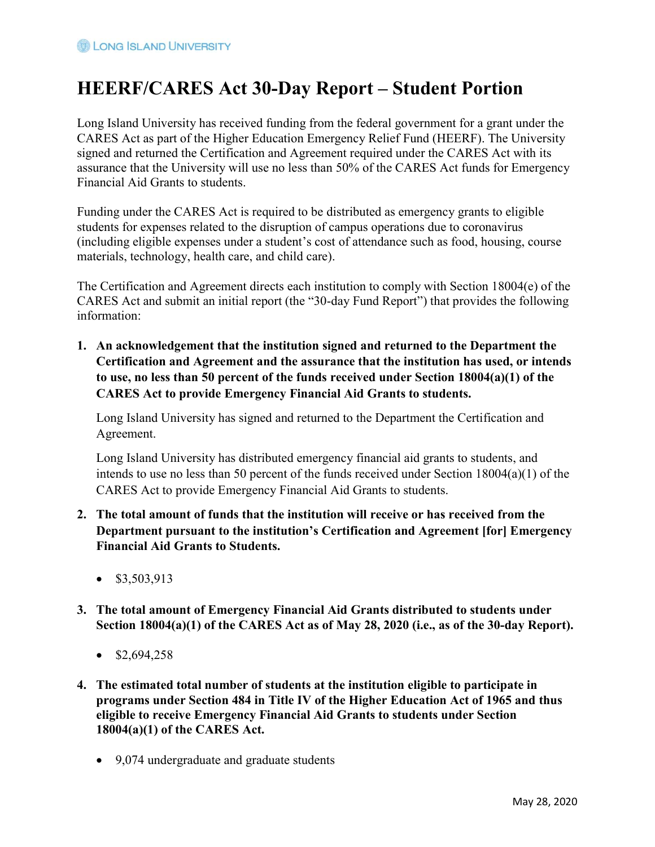# HEERF/CARES Act 30-Day Report – Student Portion

Long Island University has received funding from the federal government for a grant under the CARES Act as part of the Higher Education Emergency Relief Fund (HEERF). The University signed and returned the Certification and Agreement required under the CARES Act with its assurance that the University will use no less than 50% of the CARES Act funds for Emergency Financial Aid Grants to students.

Funding under the CARES Act is required to be distributed as emergency grants to eligible students for expenses related to the disruption of campus operations due to coronavirus (including eligible expenses under a student's cost of attendance such as food, housing, course materials, technology, health care, and child care).

The Certification and Agreement directs each institution to comply with Section 18004(e) of the CARES Act and submit an initial report (the "30-day Fund Report") that provides the following information:

1. An acknowledgement that the institution signed and returned to the Department the Certification and Agreement and the assurance that the institution has used, or intends to use, no less than 50 percent of the funds received under Section 18004(a)(1) of the CARES Act to provide Emergency Financial Aid Grants to students.

Long Island University has signed and returned to the Department the Certification and Agreement.

Long Island University has distributed emergency financial aid grants to students, and intends to use no less than 50 percent of the funds received under Section 18004(a)(1) of the CARES Act to provide Emergency Financial Aid Grants to students.

- 2. The total amount of funds that the institution will receive or has received from the Department pursuant to the institution's Certification and Agreement [for] Emergency Financial Aid Grants to Students.
	- $\bullet$  \$3,503,913
- 3. The total amount of Emergency Financial Aid Grants distributed to students under Section 18004(a)(1) of the CARES Act as of May 28, 2020 (i.e., as of the 30-day Report).
	- $\bullet$  \$2,694,258
- 4. The estimated total number of students at the institution eligible to participate in programs under Section 484 in Title IV of the Higher Education Act of 1965 and thus eligible to receive Emergency Financial Aid Grants to students under Section 18004(a)(1) of the CARES Act.
	- 9,074 undergraduate and graduate students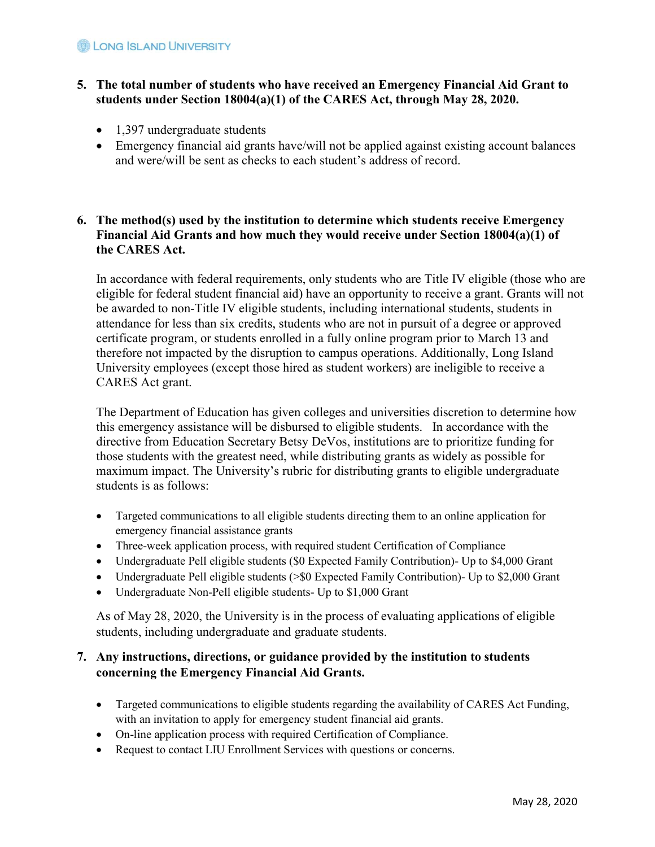#### **B** LONG SLAND UNIVERSITY

#### 5. The total number of students who have received an Emergency Financial Aid Grant to students under Section 18004(a)(1) of the CARES Act, through May 28, 2020.

- 1,397 undergraduate students
- Emergency financial aid grants have/will not be applied against existing account balances and were/will be sent as checks to each student's address of record.

#### 6. The method(s) used by the institution to determine which students receive Emergency Financial Aid Grants and how much they would receive under Section 18004(a)(1) of the CARES Act.

In accordance with federal requirements, only students who are Title IV eligible (those who are eligible for federal student financial aid) have an opportunity to receive a grant. Grants will not be awarded to non-Title IV eligible students, including international students, students in attendance for less than six credits, students who are not in pursuit of a degree or approved certificate program, or students enrolled in a fully online program prior to March 13 and therefore not impacted by the disruption to campus operations. Additionally, Long Island University employees (except those hired as student workers) are ineligible to receive a CARES Act grant.

The Department of Education has given colleges and universities discretion to determine how this emergency assistance will be disbursed to eligible students. In accordance with the directive from Education Secretary Betsy DeVos, institutions are to prioritize funding for those students with the greatest need, while distributing grants as widely as possible for maximum impact. The University's rubric for distributing grants to eligible undergraduate students is as follows:

- Targeted communications to all eligible students directing them to an online application for emergency financial assistance grants
- Three-week application process, with required student Certification of Compliance
- Undergraduate Pell eligible students (\$0 Expected Family Contribution)- Up to \$4,000 Grant
- Undergraduate Pell eligible students (>\$0 Expected Family Contribution)- Up to \$2,000 Grant
- Undergraduate Non-Pell eligible students- Up to \$1,000 Grant

As of May 28, 2020, the University is in the process of evaluating applications of eligible students, including undergraduate and graduate students.

### 7. Any instructions, directions, or guidance provided by the institution to students concerning the Emergency Financial Aid Grants.

- Targeted communications to eligible students regarding the availability of CARES Act Funding, with an invitation to apply for emergency student financial aid grants.
- On-line application process with required Certification of Compliance.
- Request to contact LIU Enrollment Services with questions or concerns.